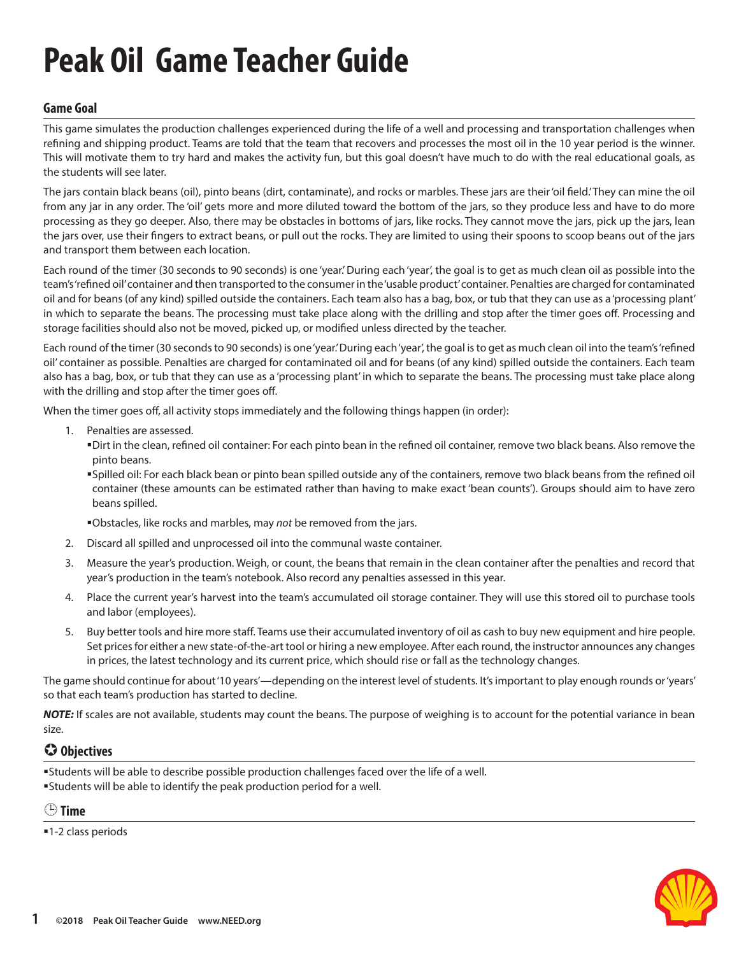# **Peak Oil Game Teacher Guide**

### **Game Goal**

This game simulates the production challenges experienced during the life of a well and processing and transportation challenges when refining and shipping product. Teams are told that the team that recovers and processes the most oil in the 10 year period is the winner. This will motivate them to try hard and makes the activity fun, but this goal doesn't have much to do with the real educational goals, as the students will see later.

The jars contain black beans (oil), pinto beans (dirt, contaminate), and rocks or marbles. These jars are their 'oil field.' They can mine the oil from any jar in any order. The 'oil' gets more and more diluted toward the bottom of the jars, so they produce less and have to do more processing as they go deeper. Also, there may be obstacles in bottoms of jars, like rocks. They cannot move the jars, pick up the jars, lean the jars over, use their fingers to extract beans, or pull out the rocks. They are limited to using their spoons to scoop beans out of the jars and transport them between each location.

Each round of the timer (30 seconds to 90 seconds) is one 'year.' During each 'year', the goal is to get as much clean oil as possible into the team's 'refined oil' container and then transported to the consumer in the 'usable product' container. Penalties are charged for contaminated oil and for beans (of any kind) spilled outside the containers. Each team also has a bag, box, or tub that they can use as a 'processing plant' in which to separate the beans. The processing must take place along with the drilling and stop after the timer goes off. Processing and storage facilities should also not be moved, picked up, or modified unless directed by the teacher.

Each round of the timer (30 seconds to 90 seconds) is one 'year.' During each 'year', the goal is to get as much clean oil into the team's 'refined oil' container as possible. Penalties are charged for contaminated oil and for beans (of any kind) spilled outside the containers. Each team also has a bag, box, or tub that they can use as a 'processing plant' in which to separate the beans. The processing must take place along with the drilling and stop after the timer goes off.

When the timer goes off, all activity stops immediately and the following things happen (in order):

- 1. Penalties are assessed.
	- Dirt in the clean, refined oil container: For each pinto bean in the refined oil container, remove two black beans. Also remove the pinto beans.
	- Spilled oil: For each black bean or pinto bean spilled outside any of the containers, remove two black beans from the refined oil container (these amounts can be estimated rather than having to make exact 'bean counts'). Groups should aim to have zero beans spilled.
	- Obstacles, like rocks and marbles, may *not* be removed from the jars.
- 2. Discard all spilled and unprocessed oil into the communal waste container.
- 3. Measure the year's production. Weigh, or count, the beans that remain in the clean container after the penalties and record that year's production in the team's notebook. Also record any penalties assessed in this year.
- 4. Place the current year's harvest into the team's accumulated oil storage container. They will use this stored oil to purchase tools and labor (employees).
- 5. Buy better tools and hire more staff. Teams use their accumulated inventory of oil as cash to buy new equipment and hire people. Set prices for either a new state-of-the-art tool or hiring a new employee. After each round, the instructor announces any changes in prices, the latest technology and its current price, which should rise or fall as the technology changes.

The game should continue for about '10 years'—depending on the interest level of students. It's important to play enough rounds or 'years' so that each team's production has started to decline.

*NOTE*: If scales are not available, students may count the beans. The purpose of weighing is to account for the potential variance in bean size.

# **Objectives**

Students will be able to describe possible production challenges faced over the life of a well. Students will be able to identify the peak production period for a well.

 **Time**

■1-2 class periods